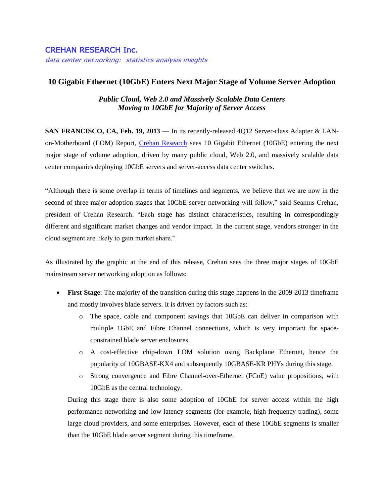# CREHAN RESEARCH Inc.

data center networking: statistics analysis insights

## **10 Gigabit Ethernet (10GbE) Enters Next Major Stage of Volume Server Adoption**

### *Public Cloud, Web 2.0 and Massively Scalable Data Centers Moving to 10GbE for Majority of Server Access*

**SAN FRANCISCO, CA, Feb. 19, 2013 —** In its recently-released 4Q12 Server-class Adapter & LANon-Motherboard (LOM) Report, [Crehan Research](http://www.crehanresearch.com/) sees 10 Gigabit Ethernet (10GbE) entering the next major stage of volume adoption, driven by many public cloud, Web 2.0, and massively scalable data center companies deploying 10GbE servers and server-access data center switches.

"Although there is some overlap in terms of timelines and segments, we believe that we are now in the second of three major adoption stages that 10GbE server networking will follow," said Seamus Crehan, president of Crehan Research. "Each stage has distinct characteristics, resulting in correspondingly different and significant market changes and vendor impact. In the current stage, vendors stronger in the cloud segment are likely to gain market share."

As illustrated by the graphic at the end of this release, Crehan sees the three major stages of 10GbE mainstream server networking adoption as follows:

- **First Stage**: The majority of the transition during this stage happens in the 2009-2013 timeframe and mostly involves blade servers. It is driven by factors such as:
	- o The space, cable and component savings that 10GbE can deliver in comparison with multiple 1GbE and Fibre Channel connections, which is very important for spaceconstrained blade server enclosures.
	- o A cost-effective chip-down LOM solution using Backplane Ethernet, hence the popularity of 10GBASE-KX4 and subsequently 10GBASE-KR PHYs during this stage.
	- o Strong convergence and Fibre Channel-over-Ethernet (FCoE) value propositions, with 10GbE as the central technology.

During this stage there is also some adoption of 10GbE for server access within the high performance networking and low-latency segments (for example, high frequency trading), some large cloud providers, and some enterprises. However, each of these 10GbE segments is smaller than the 10GbE blade server segment during this timeframe.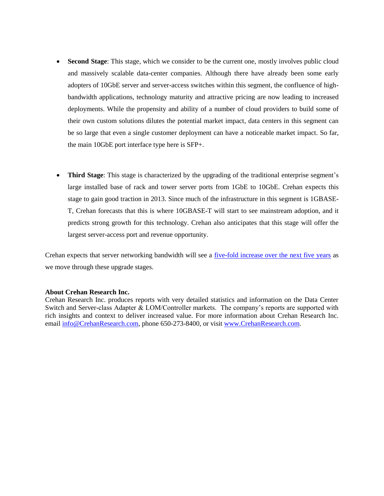- **Second Stage**: This stage, which we consider to be the current one, mostly involves public cloud and massively scalable data-center companies. Although there have already been some early adopters of 10GbE server and server-access switches within this segment, the confluence of highbandwidth applications, technology maturity and attractive pricing are now leading to increased deployments. While the propensity and ability of a number of cloud providers to build some of their own custom solutions dilutes the potential market impact, data centers in this segment can be so large that even a single customer deployment can have a noticeable market impact. So far, the main 10GbE port interface type here is SFP+.
- **Third Stage**: This stage is characterized by the upgrading of the traditional enterprise segment's large installed base of rack and tower server ports from 1GbE to 10GbE. Crehan expects this stage to gain good traction in 2013. Since much of the infrastructure in this segment is 1GBASE-T, Crehan forecasts that this is where 10GBASE-T will start to see mainstream adoption, and it predicts strong growth for this technology. Crehan also anticipates that this stage will offer the largest server-access port and revenue opportunity.

Crehan expects that server networking bandwidth will see a [five-fold increase over the next](http://www.prnewswire.com/news-releases/server-class-networking-bandwidth-to-increase-five-fold-in-five-years-188657001.html) five years as we move through these upgrade stages.

#### **About Crehan Research Inc.**

Crehan Research Inc. produces reports with very detailed statistics and information on the Data Center Switch and Server-class Adapter & LOM/Controller markets. The company's reports are supported with rich insights and context to deliver increased value. For more information about Crehan Research Inc. email [info@CrehanResearch.com,](mailto:info@CrehanResearch.com) phone 650-273-8400, or visit [www.CrehanResearch.com.](http://www.crehanresearch.com/)